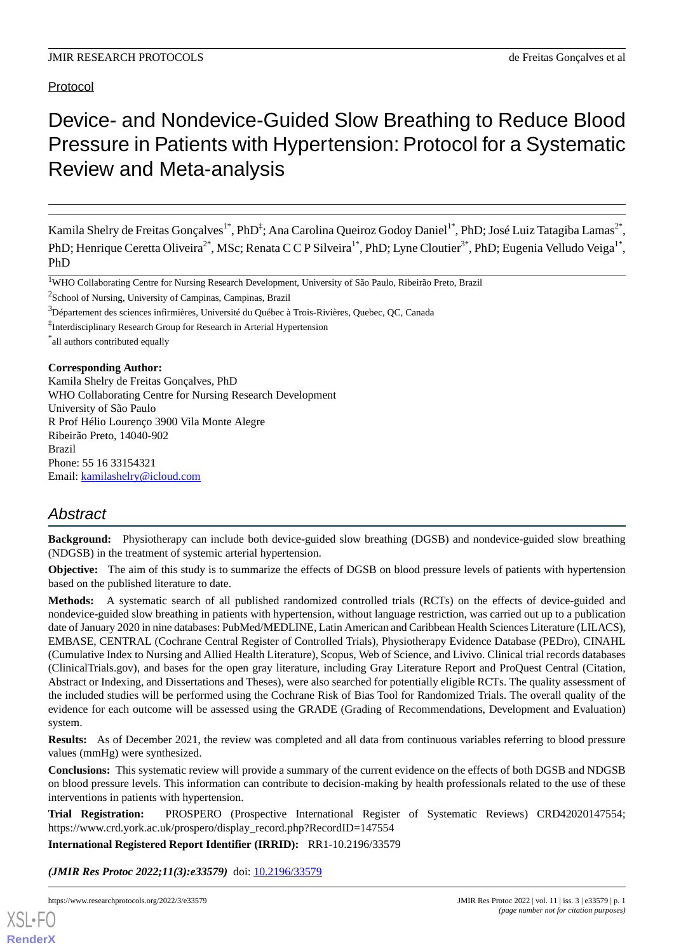Protocol

# Device- and Nondevice-Guided Slow Breathing to Reduce Blood Pressure in Patients with Hypertension: Protocol for a Systematic Review and Meta-analysis

Kamila Shelry de Freitas Gonçalves<sup>1\*</sup>, PhD<sup>‡</sup>; Ana Carolina Queiroz Godoy Daniel<sup>1\*</sup>, PhD; José Luiz Tatagiba Lamas<sup>2\*</sup>, PhD; Henrique Ceretta Oliveira<sup>2\*</sup>, MSc; Renata C C P Silveira<sup>1\*</sup>, PhD; Lyne Cloutier<sup>3\*</sup>, PhD; Eugenia Velludo Veiga<sup>1\*</sup>, PhD

<sup>2</sup>School of Nursing, University of Campinas, Campinas, Brazil

<sup>3</sup>Département des sciences infirmières, Université du Québec à Trois-Rivières, Quebec, QC, Canada

‡ Interdisciplinary Research Group for Research in Arterial Hypertension

\* all authors contributed equally

### **Corresponding Author:**

Kamila Shelry de Freitas Gonçalves, PhD WHO Collaborating Centre for Nursing Research Development University of São Paulo R Prof Hélio Lourenço 3900 Vila Monte Alegre Ribeirão Preto, 14040-902 Brazil Phone: 55 16 33154321 Email: [kamilashelry@icloud.com](mailto:kamilashelry@icloud.com)

## *Abstract*

**Background:** Physiotherapy can include both device-guided slow breathing (DGSB) and nondevice-guided slow breathing (NDGSB) in the treatment of systemic arterial hypertension.

**Objective:** The aim of this study is to summarize the effects of DGSB on blood pressure levels of patients with hypertension based on the published literature to date.

**Methods:** A systematic search of all published randomized controlled trials (RCTs) on the effects of device-guided and nondevice-guided slow breathing in patients with hypertension, without language restriction, was carried out up to a publication date of January 2020 in nine databases: PubMed/MEDLINE, Latin American and Caribbean Health Sciences Literature (LILACS), EMBASE, CENTRAL (Cochrane Central Register of Controlled Trials), Physiotherapy Evidence Database (PEDro), CINAHL (Cumulative Index to Nursing and Allied Health Literature), Scopus, Web of Science, and Livivo. Clinical trial records databases (ClinicalTrials.gov), and bases for the open gray literature, including Gray Literature Report and ProQuest Central (Citation, Abstract or Indexing, and Dissertations and Theses), were also searched for potentially eligible RCTs. The quality assessment of the included studies will be performed using the Cochrane Risk of Bias Tool for Randomized Trials. The overall quality of the evidence for each outcome will be assessed using the GRADE (Grading of Recommendations, Development and Evaluation) system.

**Results:** As of December 2021, the review was completed and all data from continuous variables referring to blood pressure values (mmHg) were synthesized.

**Conclusions:** This systematic review will provide a summary of the current evidence on the effects of both DGSB and NDGSB on blood pressure levels. This information can contribute to decision-making by health professionals related to the use of these interventions in patients with hypertension.

**Trial Registration:** PROSPERO (Prospective International Register of Systematic Reviews) CRD42020147554; https://www.crd.york.ac.uk/prospero/display\_record.php?RecordID=147554

**International Registered Report Identifier (IRRID):** RR1-10.2196/33579

(JMIR Res Protoc 2022;11(3):e33579) doi: [10.2196/33579](http://dx.doi.org/10.2196/33579)



<sup>1</sup>WHO Collaborating Centre for Nursing Research Development, University of São Paulo, Ribeirão Preto, Brazil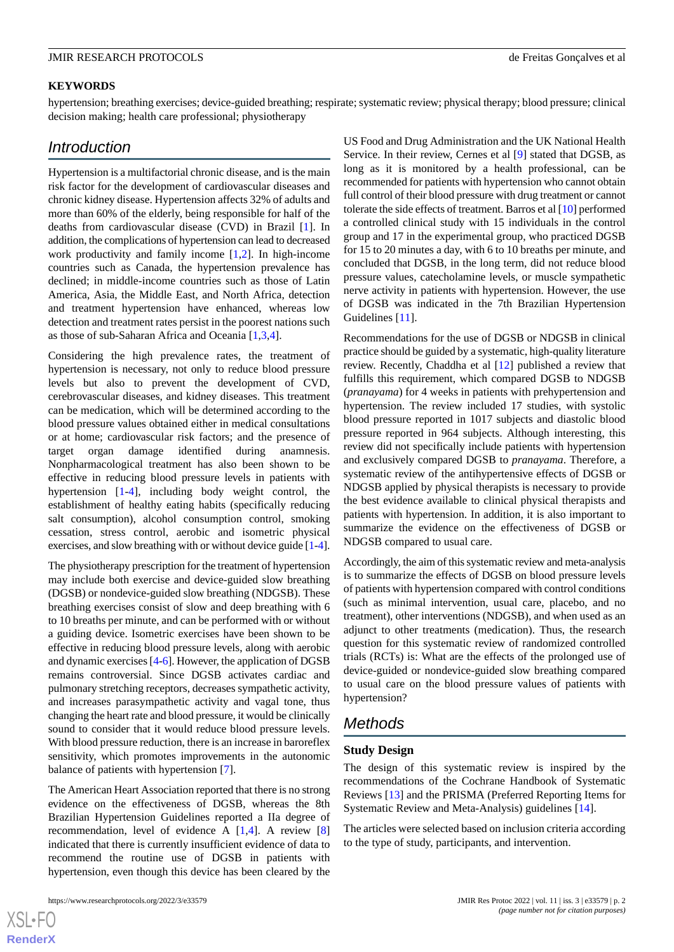### **KEYWORDS**

hypertension; breathing exercises; device-guided breathing; respirate; systematic review; physical therapy; blood pressure; clinical decision making; health care professional; physiotherapy

### *Introduction*

Hypertension is a multifactorial chronic disease, and is the main risk factor for the development of cardiovascular diseases and chronic kidney disease. Hypertension affects 32% of adults and more than 60% of the elderly, being responsible for half of the deaths from cardiovascular disease (CVD) in Brazil [\[1](#page-4-0)]. In addition, the complications of hypertension can lead to decreased work productivity and family income [[1,](#page-4-0)[2](#page-4-1)]. In high-income countries such as Canada, the hypertension prevalence has declined; in middle-income countries such as those of Latin America, Asia, the Middle East, and North Africa, detection and treatment hypertension have enhanced, whereas low detection and treatment rates persist in the poorest nations such as those of sub-Saharan Africa and Oceania [\[1](#page-4-0),[3](#page-4-2)[,4](#page-4-3)].

Considering the high prevalence rates, the treatment of hypertension is necessary, not only to reduce blood pressure levels but also to prevent the development of CVD, cerebrovascular diseases, and kidney diseases. This treatment can be medication, which will be determined according to the blood pressure values obtained either in medical consultations or at home; cardiovascular risk factors; and the presence of target organ damage identified during anamnesis. Nonpharmacological treatment has also been shown to be effective in reducing blood pressure levels in patients with hypertension [\[1](#page-4-0)-[4\]](#page-4-3), including body weight control, the establishment of healthy eating habits (specifically reducing salt consumption), alcohol consumption control, smoking cessation, stress control, aerobic and isometric physical exercises, and slow breathing with or without device guide [[1-](#page-4-0)[4\]](#page-4-3).

The physiotherapy prescription for the treatment of hypertension may include both exercise and device-guided slow breathing (DGSB) or nondevice-guided slow breathing (NDGSB). These breathing exercises consist of slow and deep breathing with 6 to 10 breaths per minute, and can be performed with or without a guiding device. Isometric exercises have been shown to be effective in reducing blood pressure levels, along with aerobic and dynamic exercises [\[4](#page-4-3)-[6](#page-4-4)]. However, the application of DGSB remains controversial. Since DGSB activates cardiac and pulmonary stretching receptors, decreases sympathetic activity, and increases parasympathetic activity and vagal tone, thus changing the heart rate and blood pressure, it would be clinically sound to consider that it would reduce blood pressure levels. With blood pressure reduction, there is an increase in baroreflex sensitivity, which promotes improvements in the autonomic balance of patients with hypertension [[7\]](#page-4-5).

The American Heart Association reported that there is no strong evidence on the effectiveness of DGSB, whereas the 8th Brazilian Hypertension Guidelines reported a IIa degree of recommendation, level of evidence A  $[1,4]$  $[1,4]$  $[1,4]$  $[1,4]$ . A review  $[8]$  $[8]$ indicated that there is currently insufficient evidence of data to recommend the routine use of DGSB in patients with hypertension, even though this device has been cleared by the

[XSL](http://www.w3.org/Style/XSL)•FO **[RenderX](http://www.renderx.com/)**

US Food and Drug Administration and the UK National Health Service. In their review, Cernes et al [\[9](#page-4-7)] stated that DGSB, as long as it is monitored by a health professional, can be recommended for patients with hypertension who cannot obtain full control of their blood pressure with drug treatment or cannot tolerate the side effects of treatment. Barros et al [\[10](#page-4-8)] performed a controlled clinical study with 15 individuals in the control group and 17 in the experimental group, who practiced DGSB for 15 to 20 minutes a day, with 6 to 10 breaths per minute, and concluded that DGSB, in the long term, did not reduce blood pressure values, catecholamine levels, or muscle sympathetic nerve activity in patients with hypertension. However, the use of DGSB was indicated in the 7th Brazilian Hypertension Guidelines [[11\]](#page-4-9).

Recommendations for the use of DGSB or NDGSB in clinical practice should be guided by a systematic, high-quality literature review. Recently, Chaddha et al [\[12](#page-4-10)] published a review that fulfills this requirement, which compared DGSB to NDGSB (*pranayama*) for 4 weeks in patients with prehypertension and hypertension. The review included 17 studies, with systolic blood pressure reported in 1017 subjects and diastolic blood pressure reported in 964 subjects. Although interesting, this review did not specifically include patients with hypertension and exclusively compared DGSB to *pranayama*. Therefore, a systematic review of the antihypertensive effects of DGSB or NDGSB applied by physical therapists is necessary to provide the best evidence available to clinical physical therapists and patients with hypertension. In addition, it is also important to summarize the evidence on the effectiveness of DGSB or NDGSB compared to usual care.

Accordingly, the aim of this systematic review and meta-analysis is to summarize the effects of DGSB on blood pressure levels of patients with hypertension compared with control conditions (such as minimal intervention, usual care, placebo, and no treatment), other interventions (NDGSB), and when used as an adjunct to other treatments (medication). Thus, the research question for this systematic review of randomized controlled trials (RCTs) is: What are the effects of the prolonged use of device-guided or nondevice-guided slow breathing compared to usual care on the blood pressure values of patients with hypertension?

### *Methods*

### **Study Design**

The design of this systematic review is inspired by the recommendations of the Cochrane Handbook of Systematic Reviews [\[13](#page-4-11)] and the PRISMA (Preferred Reporting Items for Systematic Review and Meta-Analysis) guidelines [\[14](#page-4-12)].

The articles were selected based on inclusion criteria according to the type of study, participants, and intervention.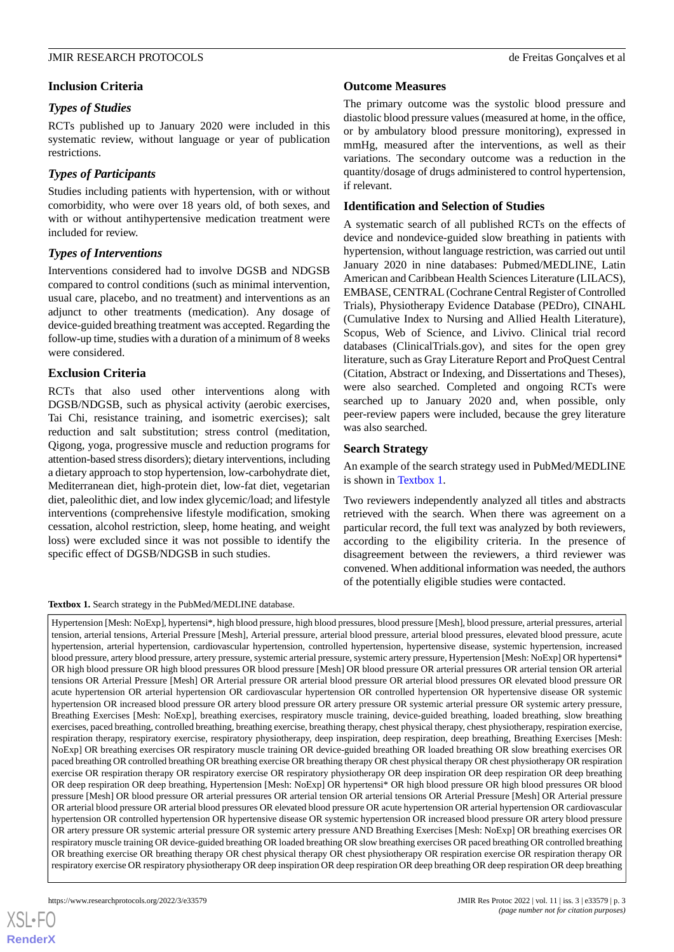### **Inclusion Criteria**

### *Types of Studies*

RCTs published up to January 2020 were included in this systematic review, without language or year of publication restrictions.

### *Types of Participants*

Studies including patients with hypertension, with or without comorbidity, who were over 18 years old, of both sexes, and with or without antihypertensive medication treatment were included for review.

### *Types of Interventions*

Interventions considered had to involve DGSB and NDGSB compared to control conditions (such as minimal intervention, usual care, placebo, and no treatment) and interventions as an adjunct to other treatments (medication). Any dosage of device-guided breathing treatment was accepted. Regarding the follow-up time, studies with a duration of a minimum of 8 weeks were considered.

### **Exclusion Criteria**

RCTs that also used other interventions along with DGSB/NDGSB, such as physical activity (aerobic exercises, Tai Chi, resistance training, and isometric exercises); salt reduction and salt substitution; stress control (meditation, Qigong, yoga, progressive muscle and reduction programs for attention-based stress disorders); dietary interventions, including a dietary approach to stop hypertension, low-carbohydrate diet, Mediterranean diet, high-protein diet, low-fat diet, vegetarian diet, paleolithic diet, and low index glycemic/load; and lifestyle interventions (comprehensive lifestyle modification, smoking cessation, alcohol restriction, sleep, home heating, and weight loss) were excluded since it was not possible to identify the specific effect of DGSB/NDGSB in such studies.

### <span id="page-2-0"></span>**Textbox 1.** Search strategy in the PubMed/MEDLINE database.

### **Outcome Measures**

The primary outcome was the systolic blood pressure and diastolic blood pressure values (measured at home, in the office, or by ambulatory blood pressure monitoring), expressed in mmHg, measured after the interventions, as well as their variations. The secondary outcome was a reduction in the quantity/dosage of drugs administered to control hypertension, if relevant.

### **Identification and Selection of Studies**

A systematic search of all published RCTs on the effects of device and nondevice-guided slow breathing in patients with hypertension, without language restriction, was carried out until January 2020 in nine databases: Pubmed/MEDLINE, Latin American and Caribbean Health Sciences Literature (LILACS), EMBASE, CENTRAL (Cochrane Central Register of Controlled Trials), Physiotherapy Evidence Database (PEDro), CINAHL (Cumulative Index to Nursing and Allied Health Literature), Scopus, Web of Science, and Livivo. Clinical trial record databases (ClinicalTrials.gov), and sites for the open grey literature, such as Gray Literature Report and ProQuest Central (Citation, Abstract or Indexing, and Dissertations and Theses), were also searched. Completed and ongoing RCTs were searched up to January 2020 and, when possible, only peer-review papers were included, because the grey literature was also searched.

### **Search Strategy**

An example of the search strategy used in PubMed/MEDLINE is shown in [Textbox 1](#page-2-0).

Two reviewers independently analyzed all titles and abstracts retrieved with the search. When there was agreement on a particular record, the full text was analyzed by both reviewers, according to the eligibility criteria. In the presence of disagreement between the reviewers, a third reviewer was convened. When additional information was needed, the authors of the potentially eligible studies were contacted.

Hypertension [Mesh: NoExp], hypertensi\*, high blood pressure, high blood pressures, blood pressure [Mesh], blood pressure, arterial pressures, arterial tension, arterial tensions, Arterial Pressure [Mesh], Arterial pressure, arterial blood pressure, arterial blood pressures, elevated blood pressure, acute hypertension, arterial hypertension, cardiovascular hypertension, controlled hypertension, hypertensive disease, systemic hypertension, increased blood pressure, artery blood pressure, artery pressure, systemic arterial pressure, systemic artery pressure, Hypertension [Mesh: NoExp] OR hypertensi\* OR high blood pressure OR high blood pressures OR blood pressure [Mesh] OR blood pressure OR arterial pressures OR arterial tension OR arterial tensions OR Arterial Pressure [Mesh] OR Arterial pressure OR arterial blood pressure OR arterial blood pressures OR elevated blood pressure OR acute hypertension OR arterial hypertension OR cardiovascular hypertension OR controlled hypertension OR hypertensive disease OR systemic hypertension OR increased blood pressure OR artery blood pressure OR artery pressure OR systemic arterial pressure OR systemic artery pressure, Breathing Exercises [Mesh: NoExp], breathing exercises, respiratory muscle training, device-guided breathing, loaded breathing, slow breathing exercises, paced breathing, controlled breathing, breathing exercise, breathing therapy, chest physical therapy, chest physiotherapy, respiration exercise, respiration therapy, respiratory exercise, respiratory physiotherapy, deep inspiration, deep respiration, deep breathing, Breathing Exercises [Mesh: NoExp] OR breathing exercises OR respiratory muscle training OR device-guided breathing OR loaded breathing OR slow breathing exercises OR paced breathing OR controlled breathing OR breathing exercise OR breathing therapy OR chest physical therapy OR chest physiotherapy OR respiration exercise OR respiration therapy OR respiratory exercise OR respiratory physiotherapy OR deep inspiration OR deep respiration OR deep breathing OR deep respiration OR deep breathing, Hypertension [Mesh: NoExp] OR hypertensi\* OR high blood pressure OR high blood pressures OR blood pressure [Mesh] OR blood pressure OR arterial pressures OR arterial tension OR arterial tensions OR Arterial Pressure [Mesh] OR Arterial pressure OR arterial blood pressure OR arterial blood pressures OR elevated blood pressure OR acute hypertension OR arterial hypertension OR cardiovascular hypertension OR controlled hypertension OR hypertensive disease OR systemic hypertension OR increased blood pressure OR artery blood pressure OR artery pressure OR systemic arterial pressure OR systemic artery pressure AND Breathing Exercises [Mesh: NoExp] OR breathing exercises OR respiratory muscle training OR device-guided breathing OR loaded breathing OR slow breathing exercises OR paced breathing OR controlled breathing OR breathing exercise OR breathing therapy OR chest physical therapy OR chest physiotherapy OR respiration exercise OR respiration therapy OR respiratory exercise OR respiratory physiotherapy OR deep inspiration OR deep respiration OR deep breathing OR deep respiration OR deep breathing

 $XS$  $\cdot$ FC **[RenderX](http://www.renderx.com/)**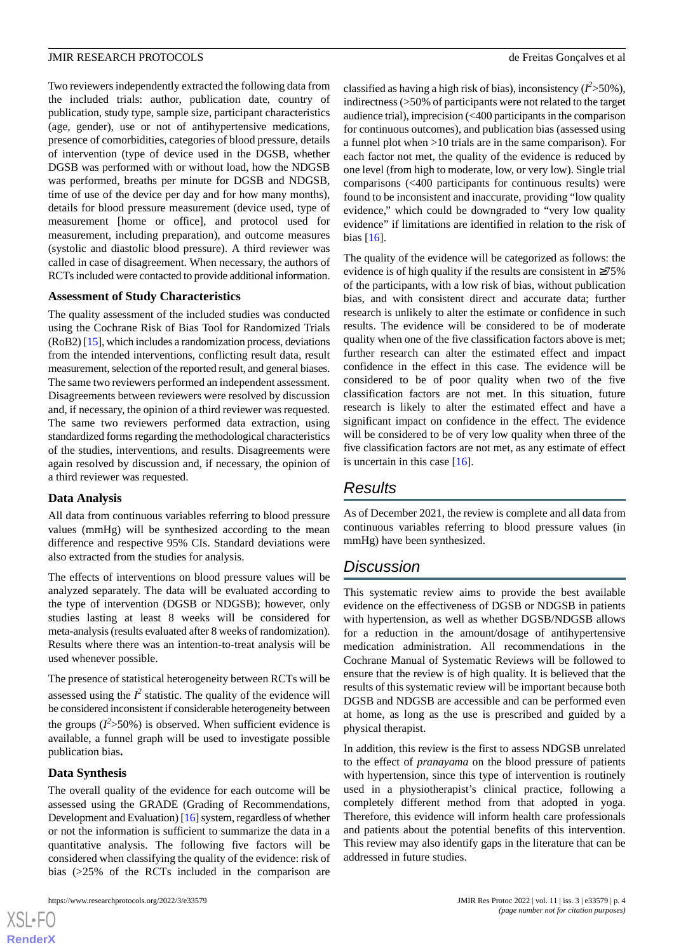Two reviewers independently extracted the following data from the included trials: author, publication date, country of publication, study type, sample size, participant characteristics (age, gender), use or not of antihypertensive medications, presence of comorbidities, categories of blood pressure, details of intervention (type of device used in the DGSB, whether DGSB was performed with or without load, how the NDGSB was performed, breaths per minute for DGSB and NDGSB, time of use of the device per day and for how many months), details for blood pressure measurement (device used, type of measurement [home or office], and protocol used for measurement, including preparation), and outcome measures (systolic and diastolic blood pressure). A third reviewer was called in case of disagreement. When necessary, the authors of RCTs included were contacted to provide additional information.

### **Assessment of Study Characteristics**

The quality assessment of the included studies was conducted using the Cochrane Risk of Bias Tool for Randomized Trials (RoB2) [\[15\]](#page-4-13), which includes a randomization process, deviations from the intended interventions, conflicting result data, result measurement, selection of the reported result, and general biases. The same two reviewers performed an independent assessment. Disagreements between reviewers were resolved by discussion and, if necessary, the opinion of a third reviewer was requested. The same two reviewers performed data extraction, using standardized forms regarding the methodological characteristics of the studies, interventions, and results. Disagreements were again resolved by discussion and, if necessary, the opinion of a third reviewer was requested.

#### **Data Analysis**

All data from continuous variables referring to blood pressure values (mmHg) will be synthesized according to the mean difference and respective 95% CIs. Standard deviations were also extracted from the studies for analysis.

The effects of interventions on blood pressure values will be analyzed separately. The data will be evaluated according to the type of intervention (DGSB or NDGSB); however, only studies lasting at least 8 weeks will be considered for meta-analysis (results evaluated after 8 weeks of randomization). Results where there was an intention-to-treat analysis will be used whenever possible.

The presence of statistical heterogeneity between RCTs will be assessed using the  $I^2$  statistic. The quality of the evidence will be considered inconsistent if considerable heterogeneity between the groups  $(I^2 > 50\%)$  is observed. When sufficient evidence is available, a funnel graph will be used to investigate possible publication bias**.**

### **Data Synthesis**

The overall quality of the evidence for each outcome will be assessed using the GRADE (Grading of Recommendations, Development and Evaluation) [[16\]](#page-4-14) system, regardless of whether or not the information is sufficient to summarize the data in a quantitative analysis. The following five factors will be considered when classifying the quality of the evidence: risk of bias (>25% of the RCTs included in the comparison are

classified as having a high risk of bias), inconsistency  $(I^2 > 50\%)$ , indirectness (>50% of participants were not related to the target audience trial), imprecision (<400 participants in the comparison for continuous outcomes), and publication bias (assessed using a funnel plot when >10 trials are in the same comparison). For each factor not met, the quality of the evidence is reduced by one level (from high to moderate, low, or very low). Single trial comparisons (<400 participants for continuous results) were found to be inconsistent and inaccurate, providing "low quality evidence," which could be downgraded to "very low quality evidence" if limitations are identified in relation to the risk of bias [[16\]](#page-4-14).

The quality of the evidence will be categorized as follows: the evidence is of high quality if the results are consistent in  $\geq 75\%$ of the participants, with a low risk of bias, without publication bias, and with consistent direct and accurate data; further research is unlikely to alter the estimate or confidence in such results. The evidence will be considered to be of moderate quality when one of the five classification factors above is met; further research can alter the estimated effect and impact confidence in the effect in this case. The evidence will be considered to be of poor quality when two of the five classification factors are not met. In this situation, future research is likely to alter the estimated effect and have a significant impact on confidence in the effect. The evidence will be considered to be of very low quality when three of the five classification factors are not met, as any estimate of effect is uncertain in this case [[16\]](#page-4-14).

### *Results*

As of December 2021, the review is complete and all data from continuous variables referring to blood pressure values (in mmHg) have been synthesized.

### *Discussion*

This systematic review aims to provide the best available evidence on the effectiveness of DGSB or NDGSB in patients with hypertension, as well as whether DGSB/NDGSB allows for a reduction in the amount/dosage of antihypertensive medication administration. All recommendations in the Cochrane Manual of Systematic Reviews will be followed to ensure that the review is of high quality. It is believed that the results of this systematic review will be important because both DGSB and NDGSB are accessible and can be performed even at home, as long as the use is prescribed and guided by a physical therapist.

In addition, this review is the first to assess NDGSB unrelated to the effect of *pranayama* on the blood pressure of patients with hypertension, since this type of intervention is routinely used in a physiotherapist's clinical practice, following a completely different method from that adopted in yoga. Therefore, this evidence will inform health care professionals and patients about the potential benefits of this intervention. This review may also identify gaps in the literature that can be addressed in future studies.

```
XS • FO
RenderX
```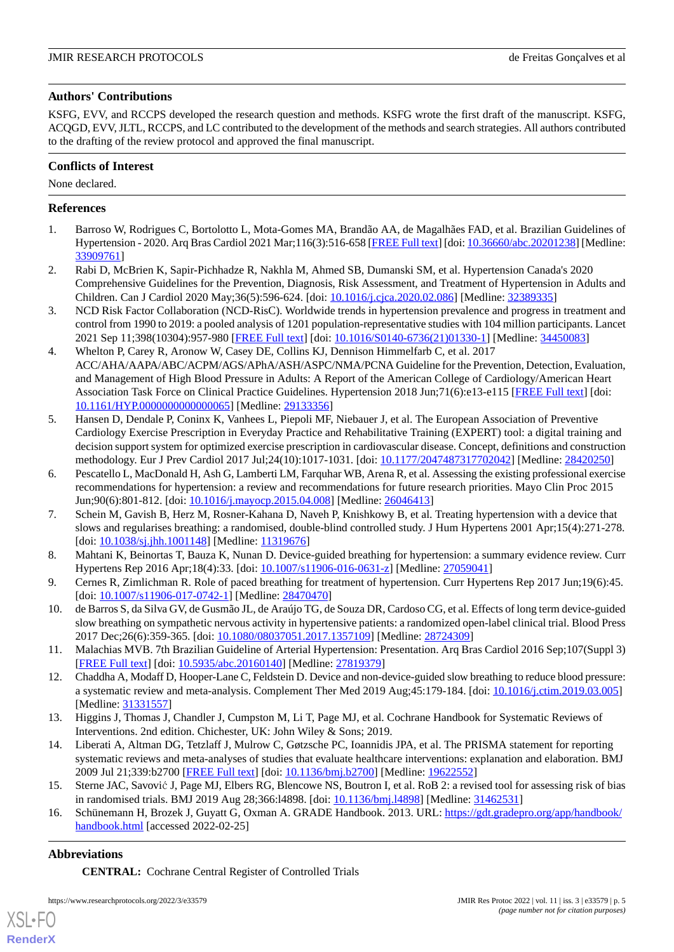### **Authors' Contributions**

KSFG, EVV, and RCCPS developed the research question and methods. KSFG wrote the first draft of the manuscript. KSFG, ACQGD, EVV, JLTL, RCCPS, and LC contributed to the development of the methods and search strategies. All authors contributed to the drafting of the review protocol and approved the final manuscript.

### **Conflicts of Interest**

None declared.

### <span id="page-4-0"></span>**References**

- <span id="page-4-1"></span>1. Barroso W, Rodrigues C, Bortolotto L, Mota-Gomes MA, Brandão AA, de Magalhães FAD, et al. Brazilian Guidelines of Hypertension - 2020. Arq Bras Cardiol 2021 Mar;116(3):516-658 [\[FREE Full text](https://www.scielo.br/scielo.php?script=sci_arttext&pid=S0066-782X2021000400516&lng=en&nrm=iso&tlng=en)] [doi: [10.36660/abc.20201238\]](http://dx.doi.org/10.36660/abc.20201238) [Medline: [33909761](http://www.ncbi.nlm.nih.gov/entrez/query.fcgi?cmd=Retrieve&db=PubMed&list_uids=33909761&dopt=Abstract)]
- <span id="page-4-2"></span>2. Rabi D, McBrien K, Sapir-Pichhadze R, Nakhla M, Ahmed SB, Dumanski SM, et al. Hypertension Canada's 2020 Comprehensive Guidelines for the Prevention, Diagnosis, Risk Assessment, and Treatment of Hypertension in Adults and Children. Can J Cardiol 2020 May;36(5):596-624. [doi: [10.1016/j.cjca.2020.02.086\]](http://dx.doi.org/10.1016/j.cjca.2020.02.086) [Medline: [32389335\]](http://www.ncbi.nlm.nih.gov/entrez/query.fcgi?cmd=Retrieve&db=PubMed&list_uids=32389335&dopt=Abstract)
- <span id="page-4-3"></span>3. NCD Risk Factor Collaboration (NCD-RisC). Worldwide trends in hypertension prevalence and progress in treatment and control from 1990 to 2019: a pooled analysis of 1201 population-representative studies with 104 million participants. Lancet 2021 Sep 11;398(10304):957-980 [[FREE Full text](https://linkinghub.elsevier.com/retrieve/pii/S0140-6736(21)01330-1)] [doi: [10.1016/S0140-6736\(21\)01330-1\]](http://dx.doi.org/10.1016/S0140-6736(21)01330-1) [Medline: [34450083\]](http://www.ncbi.nlm.nih.gov/entrez/query.fcgi?cmd=Retrieve&db=PubMed&list_uids=34450083&dopt=Abstract)
- 4. Whelton P, Carey R, Aronow W, Casey DE, Collins KJ, Dennison Himmelfarb C, et al. 2017 ACC/AHA/AAPA/ABC/ACPM/AGS/APhA/ASH/ASPC/NMA/PCNA Guideline for the Prevention, Detection, Evaluation, and Management of High Blood Pressure in Adults: A Report of the American College of Cardiology/American Heart Association Task Force on Clinical Practice Guidelines. Hypertension 2018 Jun;71(6):e13-e115 [\[FREE Full text\]](https://www.ahajournals.org/doi/abs/10.1161/HYP.0000000000000065?url_ver=Z39.88-2003&rfr_id=ori:rid:crossref.org&rfr_dat=cr_pub%3dpubmed) [doi: [10.1161/HYP.0000000000000065](http://dx.doi.org/10.1161/HYP.0000000000000065)] [Medline: [29133356\]](http://www.ncbi.nlm.nih.gov/entrez/query.fcgi?cmd=Retrieve&db=PubMed&list_uids=29133356&dopt=Abstract)
- <span id="page-4-4"></span>5. Hansen D, Dendale P, Coninx K, Vanhees L, Piepoli MF, Niebauer J, et al. The European Association of Preventive Cardiology Exercise Prescription in Everyday Practice and Rehabilitative Training (EXPERT) tool: a digital training and decision support system for optimized exercise prescription in cardiovascular disease. Concept, definitions and construction methodology. Eur J Prev Cardiol 2017 Jul;24(10):1017-1031. [doi: [10.1177/2047487317702042\]](http://dx.doi.org/10.1177/2047487317702042) [Medline: [28420250](http://www.ncbi.nlm.nih.gov/entrez/query.fcgi?cmd=Retrieve&db=PubMed&list_uids=28420250&dopt=Abstract)]
- <span id="page-4-5"></span>6. Pescatello L, MacDonald H, Ash G, Lamberti LM, Farquhar WB, Arena R, et al. Assessing the existing professional exercise recommendations for hypertension: a review and recommendations for future research priorities. Mayo Clin Proc 2015 Jun;90(6):801-812. [doi: [10.1016/j.mayocp.2015.04.008](http://dx.doi.org/10.1016/j.mayocp.2015.04.008)] [Medline: [26046413\]](http://www.ncbi.nlm.nih.gov/entrez/query.fcgi?cmd=Retrieve&db=PubMed&list_uids=26046413&dopt=Abstract)
- <span id="page-4-7"></span><span id="page-4-6"></span>7. Schein M, Gavish B, Herz M, Rosner-Kahana D, Naveh P, Knishkowy B, et al. Treating hypertension with a device that slows and regularises breathing: a randomised, double-blind controlled study. J Hum Hypertens 2001 Apr;15(4):271-278. [doi: [10.1038/sj.jhh.1001148\]](http://dx.doi.org/10.1038/sj.jhh.1001148) [Medline: [11319676](http://www.ncbi.nlm.nih.gov/entrez/query.fcgi?cmd=Retrieve&db=PubMed&list_uids=11319676&dopt=Abstract)]
- <span id="page-4-8"></span>8. Mahtani K, Beinortas T, Bauza K, Nunan D. Device-guided breathing for hypertension: a summary evidence review. Curr Hypertens Rep 2016 Apr;18(4):33. [doi: [10.1007/s11906-016-0631-z\]](http://dx.doi.org/10.1007/s11906-016-0631-z) [Medline: [27059041\]](http://www.ncbi.nlm.nih.gov/entrez/query.fcgi?cmd=Retrieve&db=PubMed&list_uids=27059041&dopt=Abstract)
- <span id="page-4-9"></span>9. Cernes R, Zimlichman R. Role of paced breathing for treatment of hypertension. Curr Hypertens Rep 2017 Jun;19(6):45. [doi: [10.1007/s11906-017-0742-1](http://dx.doi.org/10.1007/s11906-017-0742-1)] [Medline: [28470470\]](http://www.ncbi.nlm.nih.gov/entrez/query.fcgi?cmd=Retrieve&db=PubMed&list_uids=28470470&dopt=Abstract)
- <span id="page-4-10"></span>10. de Barros S, da Silva GV, de Gusmão JL, de Araújo TG, de Souza DR, Cardoso CG, et al. Effects of long term device-guided slow breathing on sympathetic nervous activity in hypertensive patients: a randomized open-label clinical trial. Blood Press 2017 Dec;26(6):359-365. [doi: [10.1080/08037051.2017.1357109](http://dx.doi.org/10.1080/08037051.2017.1357109)] [Medline: [28724309](http://www.ncbi.nlm.nih.gov/entrez/query.fcgi?cmd=Retrieve&db=PubMed&list_uids=28724309&dopt=Abstract)]
- <span id="page-4-11"></span>11. Malachias MVB. 7th Brazilian Guideline of Arterial Hypertension: Presentation. Arq Bras Cardiol 2016 Sep;107(Suppl 3) [[FREE Full text](https://www.scielo.br/scielo.php?script=sci_arttext&pid=S0066-782X2016004800001&lng=en&nrm=iso&tlng=en)] [doi: [10.5935/abc.20160140](http://dx.doi.org/10.5935/abc.20160140)] [Medline: [27819379\]](http://www.ncbi.nlm.nih.gov/entrez/query.fcgi?cmd=Retrieve&db=PubMed&list_uids=27819379&dopt=Abstract)
- <span id="page-4-12"></span>12. Chaddha A, Modaff D, Hooper-Lane C, Feldstein D. Device and non-device-guided slow breathing to reduce blood pressure: a systematic review and meta-analysis. Complement Ther Med 2019 Aug;45:179-184. [doi: [10.1016/j.ctim.2019.03.005](http://dx.doi.org/10.1016/j.ctim.2019.03.005)] [Medline: [31331557](http://www.ncbi.nlm.nih.gov/entrez/query.fcgi?cmd=Retrieve&db=PubMed&list_uids=31331557&dopt=Abstract)]
- <span id="page-4-13"></span>13. Higgins J, Thomas J, Chandler J, Cumpston M, Li T, Page MJ, et al. Cochrane Handbook for Systematic Reviews of Interventions. 2nd edition. Chichester, UK: John Wiley & Sons; 2019.
- <span id="page-4-14"></span>14. Liberati A, Altman DG, Tetzlaff J, Mulrow C, Gøtzsche PC, Ioannidis JPA, et al. The PRISMA statement for reporting systematic reviews and meta-analyses of studies that evaluate healthcare interventions: explanation and elaboration. BMJ 2009 Jul 21;339:b2700 [[FREE Full text](http://europepmc.org/abstract/MED/19622552)] [doi: [10.1136/bmj.b2700\]](http://dx.doi.org/10.1136/bmj.b2700) [Medline: [19622552](http://www.ncbi.nlm.nih.gov/entrez/query.fcgi?cmd=Retrieve&db=PubMed&list_uids=19622552&dopt=Abstract)]
- 15. Sterne JAC, Savović J, Page MJ, Elbers RG, Blencowe NS, Boutron I, et al. RoB 2: a revised tool for assessing risk of bias in randomised trials. BMJ 2019 Aug 28;366:l4898. [doi: [10.1136/bmj.l4898\]](http://dx.doi.org/10.1136/bmj.l4898) [Medline: [31462531\]](http://www.ncbi.nlm.nih.gov/entrez/query.fcgi?cmd=Retrieve&db=PubMed&list_uids=31462531&dopt=Abstract)
- 16. Schünemann H, Brozek J, Guyatt G, Oxman A. GRADE Handbook. 2013. URL: [https://gdt.gradepro.org/app/handbook/](https://gdt.gradepro.org/app/handbook/handbook.html) [handbook.html](https://gdt.gradepro.org/app/handbook/handbook.html) [accessed 2022-02-25]

### **Abbreviations**

[XSL](http://www.w3.org/Style/XSL)•FO **[RenderX](http://www.renderx.com/)**

**CENTRAL:** Cochrane Central Register of Controlled Trials